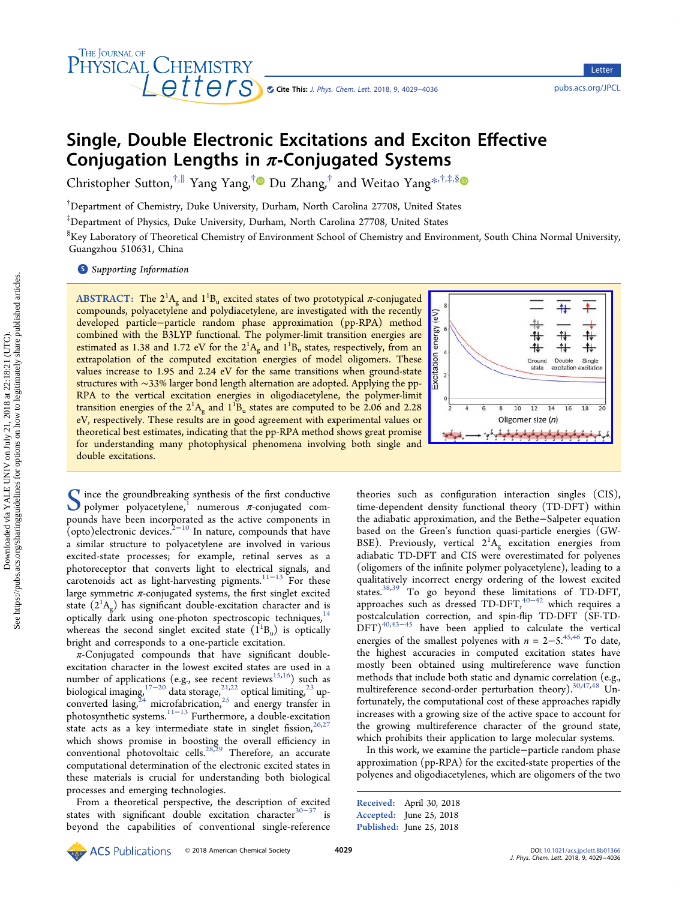

**Letter** 

# Single, Double Electronic Excitations and Exciton Effective Conjugation Lengths in  $\pi$ -Conjugated Systems

Christopher Sutton,<sup>†,||</sup> [Yang Yang,](#page-4-0)<sup>†</sup> Du Zhang,<sup>†</sup> and Weitao Yang<sup>[\\*](#page-4-0),†,‡,[§](#page-4-0)</sup>

† Department of Chemistry, Duke University, Durham, North Carolina 27708, United States

‡ Department of Physics, Duke University, Durham, North Carolina 27708, United States

 $^{\S}$ Key Laboratory of Theoretical Chemistry of Environment School of Chemistry and Environment, South China Normal University, Guangzhou 510631, China

**S** [Supporting Information](#page-4-0)

ABSTRACT: The  $2^1\text{A}_\text{g}$  and  $1^1\text{B}_\text{u}$  excited states of two prototypical  $\pi$ -conjugated compounds, polyacetylene and polydiacetylene, are investigated with the recently developed particle−particle random phase approximation (pp-RPA) method combined with the B3LYP functional. The polymer-limit transition energies are estimated as 1.38 and 1.72 eV for the  $2^{1}A_{g}$  and  $1^{1}B_{u}$  states, respectively, from an extrapolation of the computed excitation energies of model oligomers. These values increase to 1.95 and 2.24 eV for the same transitions when ground-state structures with ∼33% larger bond length alternation are adopted. Applying the pp-RPA to the vertical excitation energies in oligodiacetylene, the polymer-limit transition energies of the  $2^1A_g$  and  $1^1B_u$  states are computed to be 2.06 and 2.28 eV, respectively. These results are in good agreement with experimental values or theoretical best estimates, indicating that the pp-RPA method shows great promise for understanding many photophysical phenomena involving both single and double excitations.



Since the groundbreaking synthesis of the first conductive<br>polymer polyacetylene,<sup>1</sup> numerous  $\pi$ -conjugated com-<br>pounds have been incorporated as the estive components in pounds have been incorporated as the active components in (opto)electronic devices. $2^{-10}$  $2^{-10}$  $2^{-10}$  $2^{-10}$  In nature, compounds that have a similar structure to polyacetylene are involved in various excited-state processes; for example, retinal serves as a photoreceptor that converts light to electrical signals, and carotenoids act as light-harvesting pigments.<sup>[11](#page-5-0)-[13](#page-5-0)</sup> For these large symmetric  $\pi$ -conjugated systems, the first singlet excited state  $(2^1A_g)$  has significant double-excitation character and is optically dark using one-photon spectroscopic techniques,<sup>14</sup> whereas the second singlet excited state  $(\bar{1}^1B_u)$  is optically bright and corresponds to a one-particle excitation.

 $\pi$ -Conjugated compounds that have significant doubleexcitation character in the lowest excited states are used in a number of applications (e.g., see recent reviews $^{15,16})$  $^{15,16})$  $^{15,16})$  such as biological imaging,<sup>[17](#page-5-0)−[20](#page-5-0)</sup> data storage,<sup>[21](#page-5-0),[22](#page-5-0)</sup> optical limiting,<sup>23</sup> [up](#page-5-0)converted lasing,  $z^4$  microfabrication,  $z^5$  [and energy transfer in](#page-5-0) photosynthetic systems.[11](#page-5-0)−[13](#page-5-0) Furthermore, a double-excitation state acts as a key intermediate state in singlet fission,  $26,27$ which shows promise in boosting the overall efficiency in conventional photovoltaic cells.<sup>[28](#page-5-0),[29](#page-5-0)</sup> Therefore, an accurate computational determination of the electronic excited states in these materials is crucial for understanding both biological processes and emerging technologies.

From a theoretical perspective, the description of excited states with significant double excitation character<sup>30−[37](#page-5-0)</sup> is beyond the capabilities of conventional single-reference

theories such as configuration interaction singles (CIS), time-dependent density functional theory (TD-DFT) within the adiabatic approximation, and the Bethe−Salpeter equation based on the Green's function quasi-particle energies (GW-BSE). Previously, vertical  $2^1A_g$  excitation energies from adiabatic TD-DFT and CIS were overestimated for polyenes (oligomers of the infinite polymer polyacetylene), leading to a qualitatively incorrect energy ordering of the lowest excited states.[38,39](#page-5-0) To go beyond these limitations of TD-DFT, approaches such as dressed TD-DFT,<sup>[40](#page-5-0)−[42](#page-5-0)</sup> which requires a postcalculation correction, and spin-flip TD-DFT (SF-TD- $(DFT)^{40,43-45}$  $(DFT)^{40,43-45}$  $(DFT)^{40,43-45}$  $(DFT)^{40,43-45}$  $(DFT)^{40,43-45}$  have been applied to calculate the vertical energies of the smallest polyenes with  $n = 2-5$ .<sup>[45](#page-5-0),[46](#page-5-0)</sup> To date, the highest accuracies in computed excitation states have mostly been obtained using multireference wave function methods that include both static and dynamic correlation (e.g., multireference second-order perturbation theory).<sup>[30,47,48](#page-5-0)</sup> Unfortunately, the computational cost of these approaches rapidly increases with a growing size of the active space to account for the growing multireference character of the ground state, which prohibits their application to large molecular systems.

In this work, we examine the particle−particle random phase approximation (pp-RPA) for the excited-state properties of the polyenes and oligodiacetylenes, which are oligomers of the two

Received: April 30, 2018 Accepted: June 25, 2018 Published: June 25, 2018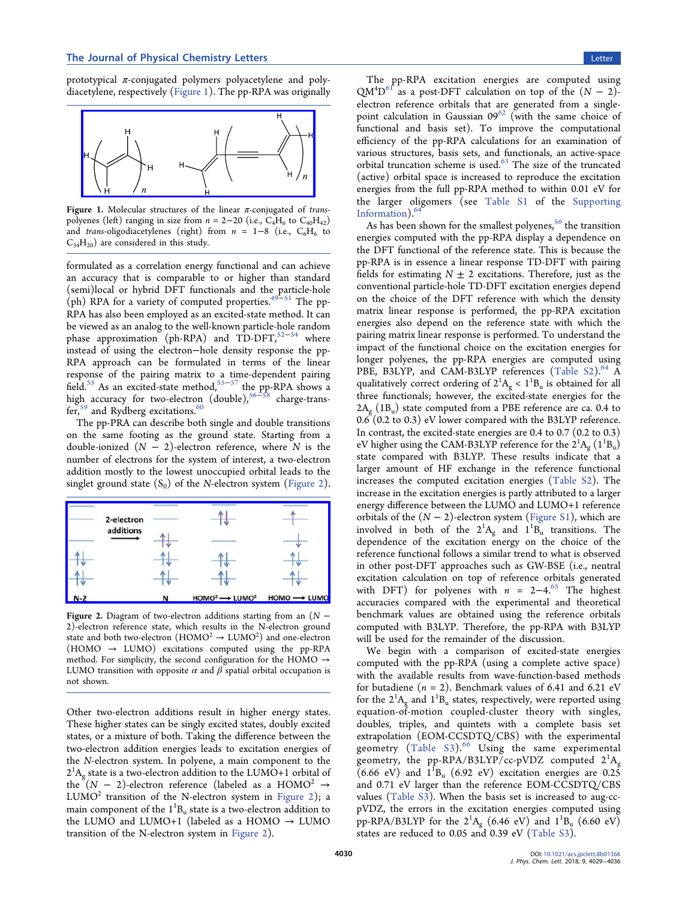prototypical  $\pi$ -conjugated polymers polyacetylene and polydiacetylene, respectively (Figure 1). The pp-RPA was originally



Figure 1. Molecular structures of the linear  $\pi$ -conjugated of transpolyenes (left) ranging in size from  $n = 2-20$  (i.e.,  $C_4H_6$  to  $C_{40}H_{42}$ ) and trans-oligodiacetylenes (right) from  $n = 1-8$  (i.e., C<sub>6</sub>H<sub>6</sub> to  $C_{34}H_{20}$ ) are considered in this study.

formulated as a correlation energy functional and can achieve an accuracy that is comparable to or higher than standard (semi)local or hybrid DFT functionals and the particle-hole (ph) RPA for a variety of computed properties.<sup>49-[51](#page-6-0)</sup> The pp-RPA has also been employed as an excited-state method. It can be viewed as an analog to the well-known particle-hole random phase approximation (ph-RPA) and TD-DFT, $52-54$  $52-54$  $52-54$  where instead of using the electron−hole density response the pp-RPA approach can be formulated in terms of the linear response of the pairing matrix to a time-dependent pairing field.<sup>55</sup> As an excited-state method,<sup>55–[57](#page-6-0)</sup> the pp-RPA shows a high accuracy for two-electron (double),<sup>56–[58](#page-6-0)</sup> charge-transfer,<sup>59</sup> and Rydberg excitations.<sup>60</sup>

The pp-PRA can describe both single and double transitions on the same footing as the ground state. Starting from a double-ionized  $(N - 2)$ -electron reference, where N is the number of electrons for the system of interest, a two-electron addition mostly to the lowest unoccupied orbital leads to the singlet ground state  $(S_0)$  of the N-electron system (Figure 2).



Figure 2. Diagram of two-electron additions starting from an  $(N -$ 2)-electron reference state, which results in the N-electron ground state and both two-electron  $(\mathrm{HOMO^{2} \rightarrow LUMO^{2}})$  and one-electron (HOMO  $\rightarrow$  LUMO) excitations computed using the pp-RPA method. For simplicity, the second configuration for the HOMO  $\rightarrow$ LUMO transition with opposite  $\alpha$  and  $\beta$  spatial orbital occupation is not shown.

Other two-electron additions result in higher energy states. These higher states can be singly excited states, doubly excited states, or a mixture of both. Taking the difference between the two-electron addition energies leads to excitation energies of the N-electron system. In polyene, a main component to the  $2^{1}A_{g}$  state is a two-electron addition to the LUMO+1 orbital of the  $(N - 2)$ -electron reference (labeled as a HOMO<sup>2</sup>  $\rightarrow$  $LUMO<sup>2</sup>$  transition of the N-electron system in Figure 2); a main component of the  $1^1\text{B}_\text{u}$  state is a two-electron addition to the LUMO and LUMO+1 (labeled as a HOMO  $\rightarrow$  LUMO transition of the N-electron system in Figure 2).

The pp-RPA excitation energies are computed using  $QM<sup>4</sup>D<sup>61</sup>$  as a post-DFT calculation on top of the  $(N - 2)$ electron reference orbitals that are generated from a singlepoint calculation in Gaussian  $09^{62}$  [\(with the same choice of](#page-6-0) functional and basis set). To improve the computational efficiency of the pp-RPA calculations for an examination of various structures, basis sets, and functionals, an active-space orbital truncation scheme is used.<sup>63</sup> [The size of the truncated](#page-6-0) (active) orbital space is increased to reproduce the excitation energies from the full pp-RPA method to within 0.01 eV for the larger oligomers (see [Table S1](http://pubs.acs.org/doi/suppl/10.1021/acs.jpclett.8b01366/suppl_file/jz8b01366_si_001.pdf) of the [Supporting](http://pubs.acs.org/doi/suppl/10.1021/acs.jpclett.8b01366/suppl_file/jz8b01366_si_001.pdf) [Information](http://pubs.acs.org/doi/suppl/10.1021/acs.jpclett.8b01366/suppl_file/jz8b01366_si_001.pdf))[.64](#page-6-0)

As has been shown for the smallest polyenes,  $56$  [the transition](#page-6-0) energies computed with the pp-RPA display a dependence on the DFT functional of the reference state. This is because the pp-RPA is in essence a linear response TD-DFT with pairing fields for estimating  $N \pm 2$  excitations. Therefore, just as the conventional particle-hole TD-DFT excitation energies depend on the choice of the DFT reference with which the density matrix linear response is performed, the pp-RPA excitation energies also depend on the reference state with which the pairing matrix linear response is performed. To understand the impact of the functional choice on the excitation energies for longer polyenes, the pp-RPA energies are computed using PBE, B3LYP, and CAM-B3LYP references [\(Table S2](http://pubs.acs.org/doi/suppl/10.1021/acs.jpclett.8b01366/suppl_file/jz8b01366_si_001.pdf)).<sup>64</sup> A qualitatively correct ordering of  $2^1A_g < 1^1B_u$  is obtained for all three functionals; however, the excited-state energies for the  $2A_g$  (1B<sub>u</sub>) state computed from a PBE reference are ca. 0.4 to 0.6 (0.2 to 0.3) eV lower compared with the B3LYP reference. In contrast, the excited-state energies are 0.4 to 0.7 (0.2 to 0.3) eV higher using the CAM-B3LYP reference for the  $2^{1}A_{g}$   $(1^{1}B_{u})$ state compared with B3LYP. These results indicate that a larger amount of HF exchange in the reference functional increases the computed excitation energies ([Table S2](http://pubs.acs.org/doi/suppl/10.1021/acs.jpclett.8b01366/suppl_file/jz8b01366_si_001.pdf)). The increase in the excitation energies is partly attributed to a larger energy difference between the LUMO and LUMO+1 reference orbitals of the  $(N - 2)$ -electron system ([Figure S1\)](http://pubs.acs.org/doi/suppl/10.1021/acs.jpclett.8b01366/suppl_file/jz8b01366_si_001.pdf), which are involved in both of the  $2^1A_g$  and  $1^1B_u$  transitions. The dependence of the excitation energy on the choice of the reference functional follows a similar trend to what is observed in other post-DFT approaches such as GW-BSE (i.e., neutral excitation calculation on top of reference orbitals generated with DFT) for polyenes with  $n = 2-4.65$  [The highest](#page-6-0) accuracies compared with the experimental and theoretical benchmark values are obtained using the reference orbitals computed with B3LYP. Therefore, the pp-RPA with B3LYP will be used for the remainder of the discussion.

We begin with a comparison of excited-state energies computed with the pp-RPA (using a complete active space) with the available results from wave-function-based methods for butadiene  $(n = 2)$ . Benchmark values of 6.41 and 6.21 eV for the  $2^1A_g$  and  $1^1B_u$  states, respectively, were reported using equation-of-motion coupled-cluster theory with singles, doubles, triples, and quintets with a complete basis set extrapolation (EOM-CCSDTQ/CBS) with the experimental geometry ([Table S3\)](http://pubs.acs.org/doi/suppl/10.1021/acs.jpclett.8b01366/suppl_file/jz8b01366_si_001.pdf).<sup>66</sup> [Using the same experimental](#page-6-0) geometry, the pp-RPA/B3LYP/cc-pVDZ computed  $2^1$ A<sub>g</sub> (6.66 eV) and  $1^1B_u$  (6.92 eV) excitation energies are 0.25 and 0.71 eV larger than the reference EOM-CCSDTQ/CBS values [\(Table S3](http://pubs.acs.org/doi/suppl/10.1021/acs.jpclett.8b01366/suppl_file/jz8b01366_si_001.pdf)). When the basis set is increased to aug-ccpVDZ, the errors in the excitation energies computed using pp-RPA/B3LYP for the  $2^1A_g$  (6.46 eV) and  $1^1B_u$  (6.60 eV) states are reduced to 0.05 and 0.39 eV [\(Table S3](http://pubs.acs.org/doi/suppl/10.1021/acs.jpclett.8b01366/suppl_file/jz8b01366_si_001.pdf)).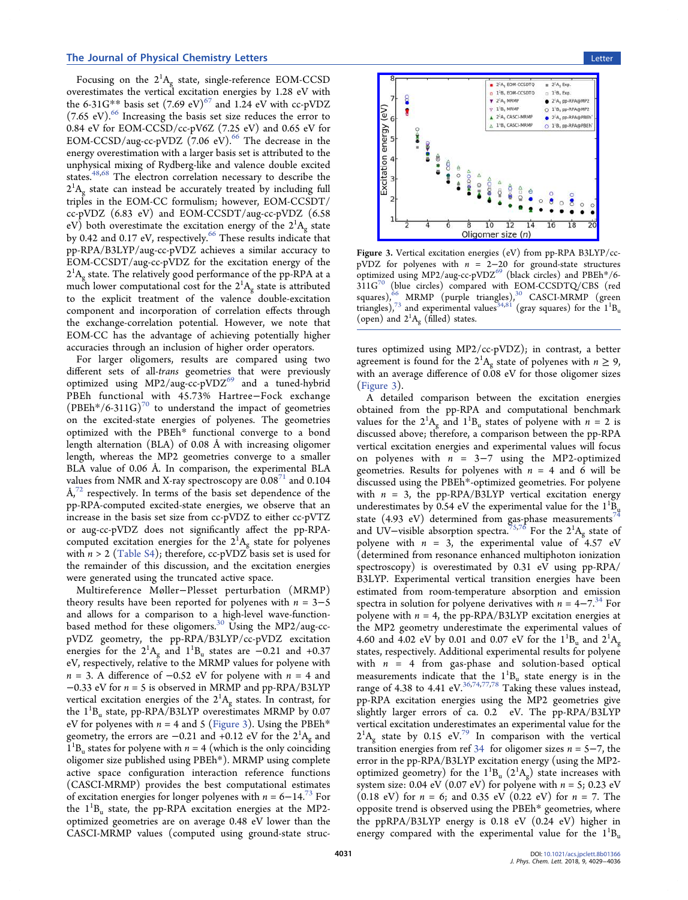#### <span id="page-2-0"></span>**The Journal of Physical Chemistry Letters** Letters **Communisty Communisty Communisty Communisty Communisty Communisty Communisty Communisty Communisty Communisty Communisty Communisty Communisty Communisty Communisty Comm**

Focusing on the  $2^1A_g$  state, single-reference EOM-CCSD overestimates the vertical excitation energies by 1.28 eV with the 6-31G\*\* basis set  $(7.69 \text{ eV})^{67}$  [and 1.24 eV with cc-pVDZ](#page-6-0)  $(7.65 \text{ eV})$ .<sup>66</sup> [Increasing the basis set size reduces the error to](#page-6-0) 0.84 eV for EOM-CCSD/cc-pV6Z  $(7.25 \text{ eV})$  and 0.65 eV for EOM-CCSD/aug-cc-pVDZ (7.06 eV).<sup>66</sup> [The decrease in the](#page-6-0) energy overestimation with a larger basis set is attributed to the unphysical mixing of Rydberg-like and valence double excited states.<sup>[48,](#page-5-0)[68](#page-6-0)</sup> The electron correlation necessary to describe the  $2^{1}A_{g}$  state can instead be accurately treated by including full triples in the EOM-CC formulism; however, EOM-CCSDT/ cc-pVDZ (6.83 eV) and EOM-CCSDT/aug-cc-pVDZ (6.58 eV) both overestimate the excitation energy of the  $2^{1}A_{g}$  state by 0.42 and 0.17 eV, respectively. $66$  [These results indicate that](#page-6-0) pp-RPA/B3LYP/aug-cc-pVDZ achieves a similar accuracy to EOM-CCSDT/aug-cc-pVDZ for the excitation energy of the  $2^{1}A_{g}$  state. The relatively good performance of the pp-RPA at a much lower computational cost for the  $2^1\mathrm{A_g}$  state is attributed to the explicit treatment of the valence double-excitation component and incorporation of correlation effects through the exchange-correlation potential. However, we note that EOM-CC has the advantage of achieving potentially higher accuracies through an inclusion of higher order operators.

For larger oligomers, results are compared using two different sets of all-trans geometries that were previously optimized using  $MP2/aug-cc-pVDZ^{69}$  [and a tuned-hybrid](#page-6-0) PBEh functional with 45.73% Hartree−Fock exchange (PBEh\*/6-311G)<sup>70</sup> [to understand the impact of geometries](#page-6-0) on the excited-state energies of polyenes. The geometries optimized with the PBEh\* functional converge to a bond length alternation (BLA) of 0.08 Å with increasing oligomer length, whereas the MP2 geometries converge to a smaller BLA value of 0.06 Å. In comparison, the experimental BLA values from NMR and X-ray spectroscopy are  $0.08<sup>71</sup>$  and  $0.104$  $\AA$ ,<sup>72</sup> [respectively. In terms of the basis set dependence of the](#page-6-0) pp-RPA-computed excited-state energies, we observe that an increase in the basis set size from cc-pVDZ to either cc-pVTZ or aug-cc-pVDZ does not significantly affect the pp-RPAcomputed excitation energies for the  $2^1\text{A}_\text{g}$  state for polyenes with  $n > 2$  ([Table S4\)](http://pubs.acs.org/doi/suppl/10.1021/acs.jpclett.8b01366/suppl_file/jz8b01366_si_001.pdf); therefore, cc-pVDZ basis set is used for the remainder of this discussion, and the excitation energies were generated using the truncated active space.

Multireference Møller−Plesset perturbation (MRMP) theory results have been reported for polyenes with  $n = 3-5$ and allows for a comparison to a high-level wave-function-based method for these oligomers.<sup>30</sup> [Using the MP2/aug-cc](#page-5-0)pVDZ geometry, the pp-RPA/B3LYP/cc-pVDZ excitation energies for the  $2^{1}A_{g}$  and  $1^{1}B_{u}$  states are  $-0.21$  and  $+0.37$ eV, respectively, relative to the MRMP values for polyene with  $n = 3$ . A difference of  $-0.52$  eV for polyene with  $n = 4$  and  $-0.33$  eV for  $n = 5$  is observed in MRMP and pp-RPA/B3LYP vertical excitation energies of the  $2^{1}A_{g}$  states. In contrast, for the  $1^1B_u$  state, pp-RPA/B3LYP overestimates MRMP by 0.07 eV for polyenes with  $n = 4$  and 5 (Figure 3). Using the PBEh<sup>\*</sup> geometry, the errors are  $-0.21$  and  $+0.12$  eV for the  $2^{1}A_{g}$  and  $1^{1}B_{u}$  states for polyene with  $n = 4$  (which is the only coinciding oligomer size published using PBEh\*). MRMP using complete active space configuration interaction reference functions (CASCI-MRMP) provides the best computational estimates of excitation energies for longer polyenes with  $n = 6-14$ .<sup>73</sup> [For](#page-6-0) the  $1^1B_u$  state, the pp-RPA excitation energies at the MP2optimized geometries are on average 0.48 eV lower than the CASCI-MRMP values (computed using ground-state struc-



Figure 3. Vertical excitation energies (eV) from pp-RPA B3LYP/ccpVDZ for polyenes with  $n = 2-20$  for ground-state structures optimized using MP2/aug-cc-pVDZ<sup>69</sup> [\(black circles\) and PBEh](#page-6-0)\*/6-311G<sup>70</sup> [\(blue circles\) compared with EOM-CCSDTQ/CBS \(red](#page-6-0) squares), $66$  [MRMP \(purple triangles\),](#page-6-0) $30$  [CASCI-MRMP \(green](#page-5-0) triangles),<sup>73</sup> [and experimental values](#page-6-0)<sup>[34](#page-5-0),[81](#page-6-0)</sup> (gray squares) for the  $1^1B_u$ (open) and  $2^1A_g$  (filled) states.

tures optimized using MP2/cc-pVDZ); in contrast, a better agreement is found for the  $2^1A_g$  state of polyenes with  $n \ge 9$ , with an average difference of 0.08 eV for those oligomer sizes (Figure 3).

A detailed comparison between the excitation energies obtained from the pp-RPA and computational benchmark values for the  $2^1A_g$  and  $1^1B_u$  states of polyene with  $n = 2$  is discussed above; therefore, a comparison between the pp-RPA vertical excitation energies and experimental values will focus on polyenes with  $n = 3-7$  using the MP2-optimized geometries. Results for polyenes with  $n = 4$  and 6 will be discussed using the PBEh\*-optimized geometries. For polyene with  $n = 3$ , the pp-RPA/B3LYP vertical excitation energy underestimates by 0.54 eV the experimental value for the  $1^{1}_{\text{B}_y}$ state (4.93 eV) determined from gas-phase measurements<sup>[74](#page-6-0)</sup> and UV–visible absorption spectra.<sup>[75](#page-6-0),[76](#page-6-0)</sup> For the  $2^1\text{A}_\text{g}$  state of polyene with  $n = 3$ , the experimental value of 4.57 eV (determined from resonance enhanced multiphoton ionization spectroscopy) is overestimated by 0.31 eV using pp-RPA/ B3LYP. Experimental vertical transition energies have been estimated from room-temperature absorption and emission spectra in solution for polyene derivatives with  $n = 4-7<sup>34</sup>$  [For](#page-5-0) polyene with  $n = 4$ , the pp-RPA/B3LYP excitation energies at the MP2 geometry underestimate the experimental values of 4.60 and 4.02 eV by 0.01 and 0.07 eV for the  $1^1B_u$  and  $2^1A_g$ states, respectively. Additional experimental results for polyene with  $n = 4$  from gas-phase and solution-based optical measurements indicate that the  $1^1B_u$  state energy is in the range of 4.38 to 4.41 eV.  $36,74,77,78$  $36,74,77,78$  $36,74,77,78$  $36,74,77,78$  Taking these values instead, pp-RPA excitation energies using the MP2 geometries give slightly larger errors of ca. 0.2 eV. The pp-RPA/B3LYP vertical excitation underestimates an experimental value for the  $2^1$ A<sub>g</sub> state by 0.15 eV.<sup>79</sup> [In comparison with the vertical](#page-6-0) transition energies from ref [34](#page-5-0) for oligomer sizes  $n = 5-7$ , the error in the pp-RPA/B3LYP excitation energy (using the MP2 optimized geometry) for the  $1^1B_u (2^1A_g)$  state increases with system size: 0.04 eV (0.07 eV) for polyene with  $n = 5$ ; 0.23 eV  $(0.18 \text{ eV})$  for  $n = 6$ ; and 0.35 eV  $(0.22 \text{ eV})$  for  $n = 7$ . The opposite trend is observed using the PBEh\* geometries, where the ppRPA/B3LYP energy is 0.18 eV (0.24 eV) higher in energy compared with the experimental value for the  $1^1B_u$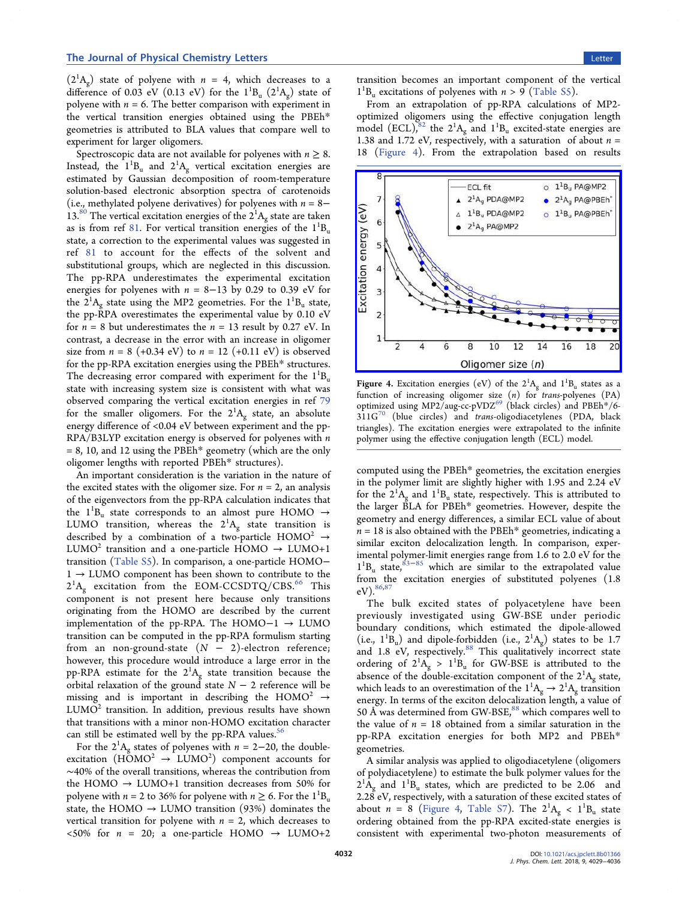<span id="page-3-0"></span> $(2^1A_g)$  state of polyene with  $n = 4$ , which decreases to a difference of 0.03 eV (0.13 eV) for the  $1^1B_u$  ( $2^1A_g$ ) state of polyene with  $n = 6$ . The better comparison with experiment in the vertical transition energies obtained using the PBEh\* geometries is attributed to BLA values that compare well to experiment for larger oligomers.

Spectroscopic data are not available for polyenes with  $n \geq 8$ . Instead, the  $1^1B_u$  and  $2^1A_g$  vertical excitation energies are estimated by Gaussian decomposition of room-temperature solution-based electronic absorption spectra of carotenoids (i.e., methylated polyene derivatives) for polyenes with  $n = 8 13.^{80}$  The vertical excitation energies of the  $2^{1}A_{g}$  state are taken as is from ref [81.](#page-6-0) For vertical transition energies of the  $1^1B_u$ state, a correction to the experimental values was suggested in ref [81](#page-6-0) to account for the effects of the solvent and substitutional groups, which are neglected in this discussion. The pp-RPA underestimates the experimental excitation energies for polyenes with  $n = 8-13$  by 0.29 to 0.39 eV for the  $2^{1}A_{g}$  state using the MP2 geometries. For the  $1^{1}B_{u}$  state, the pp-RPA overestimates the experimental value by 0.10 eV for  $n = 8$  but underestimates the  $n = 13$  result by 0.27 eV. In contrast, a decrease in the error with an increase in oligomer size from  $n = 8$  (+0.34 eV) to  $n = 12$  (+0.11 eV) is observed for the pp-RPA excitation energies using the PBEh\* structures. The decreasing error compared with experiment for the  $1^1B_u$ state with increasing system size is consistent with what was observed comparing the vertical excitation energies in ref [79](#page-6-0) for the smaller oligomers. For the  $2^1A_g$  state, an absolute energy difference of <0.04 eV between experiment and the pp-RPA/B3LYP excitation energy is observed for polyenes with n  $= 8$ , 10, and 12 using the PBEh\* geometry (which are the only oligomer lengths with reported PBEh\* structures).

An important consideration is the variation in the nature of the excited states with the oligomer size. For  $n = 2$ , an analysis of the eigenvectors from the pp-RPA calculation indicates that the  $1^1B_u$  state corresponds to an almost pure HOMO  $\rightarrow$ LUMO transition, whereas the  $2^1A_g$  state transition is described by a combination of a two-particle HOMO<sup>2</sup>  $\rightarrow$ LUMO<sup>2</sup> transition and a one-particle HOMO  $\rightarrow$  LUMO+1 transition ([Table S5](http://pubs.acs.org/doi/suppl/10.1021/acs.jpclett.8b01366/suppl_file/jz8b01366_si_001.pdf)). In comparison, a one-particle HOMO− 1 → LUMO component has been shown to contribute to the  $2^1$ A<sub>g</sub> excitation from the EOM-CCSDTQ/CBS.<sup>66</sup> [This](#page-6-0) component is not present here because only transitions originating from the HOMO are described by the current implementation of the pp-RPA. The HOMO−1 → LUMO transition can be computed in the pp-RPA formulism starting from an non-ground-state  $(N - 2)$ -electron reference; however, this procedure would introduce a large error in the pp-RPA estimate for the  $2^1A_g$  state transition because the orbital relaxation of the ground state  $N - 2$  reference will be missing and is important in describing the HOMO<sup>2</sup>  $\rightarrow$  $LUMO<sup>2</sup>$  transition. In addition, previous results have shown that transitions with a minor non-HOMO excitation character can still be estimated well by the pp-RPA values. $56$ 

For the  $2^{1}A_{g}$  states of polyenes with  $n = 2-20$ , the doubleexcitation  $(H\text{OMO}^2 \rightarrow LUMO^2)$  component accounts for ∼40% of the overall transitions, whereas the contribution from the HOMO  $\rightarrow$  LUMO+1 transition decreases from 50% for polyene with  $n = 2$  to 36% for polyene with  $n \ge 6$ . For the  $1^{1}B_{u}$ state, the HOMO  $\rightarrow$  LUMO transition (93%) dominates the vertical transition for polyene with  $n = 2$ , which decreases to <50% for  $n = 20$ ; a one-particle HOMO  $\rightarrow$  LUMO+2

transition becomes an important component of the vertical  $1^{1}B_{u}$  excitations of polyenes with  $n > 9$  ([Table S5\)](http://pubs.acs.org/doi/suppl/10.1021/acs.jpclett.8b01366/suppl_file/jz8b01366_si_001.pdf).

From an extrapolation of pp-RPA calculations of MP2 optimized oligomers using the effective conjugation length model  $(ECL)$ ,<sup>82</sup> the  $2^1A_g$  and  $1^1B_u$  excited-state energies are 1.38 and 1.72 eV, respectively, with a saturation of about  $n =$ 18 (Figure 4). From the extrapolation based on results



**Figure 4.** Excitation energies (eV) of the  $2^1A_g$  and  $1^1B_u$  states as a function of increasing oligomer size  $(n)$  for *trans-polyenes*  $(PA)$ optimized using MP2/aug-cc-pVDZ<sup>69</sup> [\(black circles\) and PBEh](#page-6-0)\*/6-  $311G<sup>70</sup>$  (blue circles) and trans[-oligodiacetylenes \(PDA, black](#page-6-0) triangles). The excitation energies were extrapolated to the infinite polymer using the effective conjugation length (ECL) model.

computed using the PBEh\* geometries, the excitation energies in the polymer limit are slightly higher with 1.95 and 2.24 eV for the  $2^{1}A_{g}$  and  $1^{1}B_{u}$  state, respectively. This is attributed to the larger BLA for PBEh\* geometries. However, despite the geometry and energy differences, a similar ECL value of about  $n = 18$  is also obtained with the PBEh\* geometries, indicating a similar exciton delocalization length. In comparison, experimental polymer-limit energies range from 1.6 to 2.0 eV for the  $1^{1}B_{u}$  state,<sup>[83](#page-6-0)-[85](#page-6-0)</sup> which are similar to the extrapolated value from the excitation energies of substituted polyenes (1.8 eV).  $86,87$  $86,87$  $86,87$ 

The bulk excited states of polyacetylene have been previously investigated using GW-BSE under periodic boundary conditions, which estimated the dipole-allowed (i.e.,  $1^1B_u$ ) and dipole-forbidden (i.e.,  $2^1A_g$ ) states to be 1.7 and 1.8 eV, respectively.<sup>88</sup> [This qualitatively incorrect state](#page-6-0) ordering of  $2^1A_g > 1^1B_u$  for GW-BSE is attributed to the absence of the double-excitation component of the  $2^{1}A_{g}$  state, which leads to an overestimation of the  $1^1\text{A}_g \rightarrow 2^1\text{A}_g$  transition energy. In terms of the exciton delocalization length, a value of 50 Å was determined from GW-BSE, $88$  [which compares well to](#page-6-0) the value of  $n = 18$  obtained from a similar saturation in the pp-RPA excitation energies for both MP2 and PBEh\* geometries.

A similar analysis was applied to oligodiacetylene (oligomers of polydiacetylene) to estimate the bulk polymer values for the  $2^{1}\text{\AA}_g$  and  $1^{1}\text{\B}_u$  states, which are predicted to be 2.06 and 2.28 eV, respectively, with a saturation of these excited states of about  $n = 8$  (Figure 4, [Table S7\)](http://pubs.acs.org/doi/suppl/10.1021/acs.jpclett.8b01366/suppl_file/jz8b01366_si_001.pdf). The  $2^1A_g < 1^1B_u$  state ordering obtained from the pp-RPA excited-state energies is consistent with experimental two-photon measurements of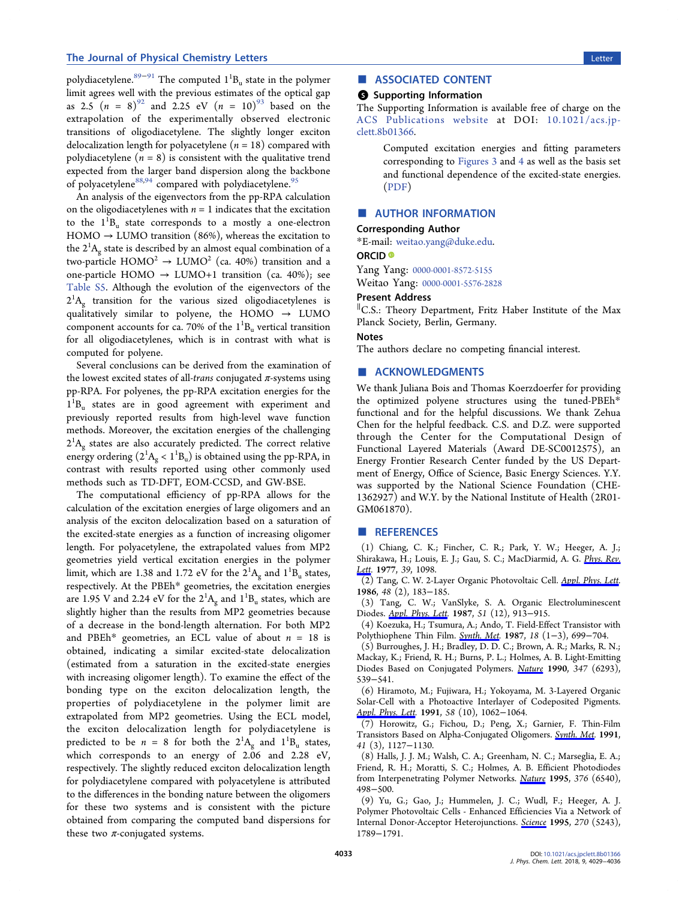<span id="page-4-0"></span>polydiacetylene. $^{89-91}$  $^{89-91}$  $^{89-91}$  $^{89-91}$  $^{89-91}$  The computed  $1^1\text{B}_\text{u}$  state in the polymer limit agrees well with the previous estimates of the optical gap as 2.5  $(n = 8)^{92}$  and 2.25 eV  $(n = 10)^{93}$  [based on the](#page-7-0) extrapolation of the experimentally observed electronic transitions of oligodiacetylene. The slightly longer exciton delocalization length for polyacetylene ( $n = 18$ ) compared with polydiacetylene ( $n = 8$ ) is consistent with the qualitative trend expected from the larger band dispersion along the backbone of polyacetylene<sup>[88](#page-6-0),[94](#page-7-0)</sup> compared with polydiacetylene.<sup>95</sup>

An analysis of the eigenvectors from the pp-RPA calculation on the oligodiacetylenes with  $n = 1$  indicates that the excitation to the  $1^1B_u$  state corresponds to a mostly a one-electron  $HOMO \rightarrow LUMO$  transition (86%), whereas the excitation to the  $2^1\text{A}_\text{g}$  state is described by an almost equal combination of a two-particle  $HOMO^2 \rightarrow LUMO^2$  (ca. 40%) transition and a one-particle HOMO  $\rightarrow$  LUMO+1 transition (ca. 40%); see [Table S5](http://pubs.acs.org/doi/suppl/10.1021/acs.jpclett.8b01366/suppl_file/jz8b01366_si_001.pdf). Although the evolution of the eigenvectors of the  $2^1A_g$  transition for the various sized oligodiacetylenes is qualitatively similar to polyene, the HOMO  $\rightarrow$  LUMO component accounts for ca. 70% of the  $1^1B_u$  vertical transition for all oligodiacetylenes, which is in contrast with what is computed for polyene.

Several conclusions can be derived from the examination of the lowest excited states of all-trans conjugated  $\pi$ -systems using pp-RPA. For polyenes, the pp-RPA excitation energies for the  $1^{1}B_{u}$  states are in good agreement with experiment and previously reported results from high-level wave function methods. Moreover, the excitation energies of the challenging  $2^1\text{A}_{\text{g}}$  states are also accurately predicted. The correct relative energy ordering  $(2^1A_g < 1^1B_u)$  is obtained using the pp-RPA, in contrast with results reported using other commonly used methods such as TD-DFT, EOM-CCSD, and GW-BSE.

The computational efficiency of pp-RPA allows for the calculation of the excitation energies of large oligomers and an analysis of the exciton delocalization based on a saturation of the excited-state energies as a function of increasing oligomer length. For polyacetylene, the extrapolated values from MP2 geometries yield vertical excitation energies in the polymer limit, which are 1.38 and 1.72 eV for the  $2^{1}A_{g}$  and  $1^{1}B_{u}$  states, respectively. At the PBEh\* geometries, the excitation energies are 1.95 V and 2.24 eV for the  $2^1\text{A}_\text{g}$  and  $1^1\text{B}_\text{u}$  states, which are slightly higher than the results from MP2 geometries because of a decrease in the bond-length alternation. For both MP2 and PBEh\* geometries, an ECL value of about  $n = 18$  is obtained, indicating a similar excited-state delocalization (estimated from a saturation in the excited-state energies with increasing oligomer length). To examine the effect of the bonding type on the exciton delocalization length, the properties of polydiacetylene in the polymer limit are extrapolated from MP2 geometries. Using the ECL model, the exciton delocalization length for polydiacetylene is predicted to be  $n = 8$  for both the  $2^1A_g$  and  $1^1B_u$  states, which corresponds to an energy of 2.06 and 2.28 eV, respectively. The slightly reduced exciton delocalization length for polydiacetylene compared with polyacetylene is attributed to the differences in the bonding nature between the oligomers for these two systems and is consistent with the picture obtained from comparing the computed band dispersions for these two  $\pi$ -conjugated systems.

# ■ ASSOCIATED CONTENT

#### **6** Supporting Information

The Supporting Information is available free of charge on the [ACS Publications website](http://pubs.acs.org) at DOI: [10.1021/acs.jp](http://pubs.acs.org/doi/abs/10.1021/acs.jpclett.8b01366)[clett.8b01366](http://pubs.acs.org/doi/abs/10.1021/acs.jpclett.8b01366).

> Computed excitation energies and fitting parameters corresponding to [Figures 3](#page-2-0) and [4](#page-3-0) as well as the basis set and functional dependence of the excited-state energies. ([PDF](http://pubs.acs.org/doi/suppl/10.1021/acs.jpclett.8b01366/suppl_file/jz8b01366_si_001.pdf))

# ■ AUTHOR INFORMATION

#### Corresponding Author

\*E-mail: [weitao.yang@duke.edu.](mailto:weitao.yang@duke.edu)

# ORCID<sup>®</sup>

Yang Yang: [0000-0001-8572-5155](http://orcid.org/0000-0001-8572-5155)

Weitao Yang: [0000-0001-5576-2828](http://orcid.org/0000-0001-5576-2828)

### Present Address

∥ C.S.: Theory Department, Fritz Haber Institute of the Max Planck Society, Berlin, Germany.

#### **Notes**

The authors declare no competing financial interest.

## ■ ACKNOWLEDGMENTS

We thank Juliana Bois and Thomas Koerzdoerfer for providing the optimized polyene structures using the tuned-PBEh\* functional and for the helpful discussions. We thank Zehua Chen for the helpful feedback. C.S. and D.Z. were supported through the Center for the Computational Design of Functional Layered Materials (Award DE-SC0012575), an Energy Frontier Research Center funded by the US Department of Energy, Office of Science, Basic Energy Sciences. Y.Y. was supported by the National Science Foundation (CHE-1362927) and W.Y. by the National Institute of Health (2R01- GM061870).

#### ■ REFERENCES

(1) Chiang, C. K.; Fincher, C. R.; Park, Y. W.; Heeger, A. J.; Shirakawa, H.; Louis, E. J.; Gau, S. C.; MacDiarmid, A. G. [Phys. Rev.](http://pubs.acs.org/action/showLinks?crossref=10.1103%2FPhysRevLett.39.1098&coi=1%3ACAS%3A528%3ADyaE2sXmtVansb0%253D&citationId=p_n_1_1) [Lett](http://pubs.acs.org/action/showLinks?crossref=10.1103%2FPhysRevLett.39.1098&coi=1%3ACAS%3A528%3ADyaE2sXmtVansb0%253D&citationId=p_n_1_1). 1977, 39, 1098.

(2) Tang, C. W. 2-Layer Organic Photovoltaic Cell. [Appl. Phys. Lett.](http://pubs.acs.org/action/showLinks?crossref=10.1063%2F1.96937&coi=1%3ACAS%3A528%3ADyaL28Xpt1SmsQ%253D%253D&citationId=p_n_2_1) 1986, 48 (2), 183−185.

(3) Tang, C. W.; VanSlyke, S. A. Organic Electroluminescent Diodes. [Appl. Phys. Lett.](http://pubs.acs.org/action/showLinks?crossref=10.1063%2F1.98799&coi=1%3ACAS%3A528%3ADyaL2sXmtVynsLo%253D&citationId=p_n_3_1) 1987, 51 (12), 913−915.

(4) Koezuka, H.; Tsumura, A.; Ando, T. Field-Effect Transistor with Polythiophene Thin Film. [Synth. Met](http://pubs.acs.org/action/showLinks?crossref=10.1016%2F0379-6779%2887%2990964-7&coi=1%3ACAS%3A528%3ADyaL2sXhs1OjtLg%253D&citationId=p_n_4_1). 1987, 18 (1−3), 699−704.

(5) Burroughes, J. H.; Bradley, D. D. C.; Brown, A. R.; Marks, R. N.; Mackay, K.; Friend, R. H.; Burns, P. L.; Holmes, A. B. Light-Emitting Diodes Based on Conjugated Polymers. [Nature](http://pubs.acs.org/action/showLinks?crossref=10.1038%2F347539a0&coi=1%3ACAS%3A528%3ADyaK3cXmt1Sru7o%253D&citationId=p_n_5_1) 1990, 347 (6293), 539−541.

(6) Hiramoto, M.; Fujiwara, H.; Yokoyama, M. 3-Layered Organic Solar-Cell with a Photoactive Interlayer of Codeposited Pigments. [Appl. Phys. Lett.](http://pubs.acs.org/action/showLinks?crossref=10.1063%2F1.104423&coi=1%3ACAS%3A528%3ADyaK3MXhvV2jsbg%253D&citationId=p_n_6_1) 1991, 58 (10), 1062-1064.

(7) Horowitz, G.; Fichou, D.; Peng, X.; Garnier, F. Thin-Film Transistors Based on Alpha-Conjugated Oligomers. [Synth. Met.](http://pubs.acs.org/action/showLinks?crossref=10.1016%2F0379-6779%2891%2991568-U&coi=1%3ACAS%3A528%3ADyaK3MXms1Oktb0%253D&citationId=p_n_7_1) 1991, 41 (3), 1127−1130.

(8) Halls, J. J. M.; Walsh, C. A.; Greenham, N. C.; Marseglia, E. A.; Friend, R. H.; Moratti, S. C.; Holmes, A. B. Efficient Photodiodes from Interpenetrating Polymer Networks. [Nature](http://pubs.acs.org/action/showLinks?crossref=10.1038%2F376498a0&coi=1%3ACAS%3A528%3ADyaK2MXnsVCrs7c%253D&citationId=p_n_8_1) 1995, 376 (6540), 498−500.

(9) Yu, G.; Gao, J.; Hummelen, J. C.; Wudl, F.; Heeger, A. J. Polymer Photovoltaic Cells - Enhanced Efficiencies Via a Network of Internal Donor-Acceptor Heterojunctions. [Science](http://pubs.acs.org/action/showLinks?crossref=10.1126%2Fscience.270.5243.1789&coi=1%3ACAS%3A528%3ADyaK2MXhtVSiurjF&citationId=p_n_9_1) 1995, 270 (5243), 1789−1791.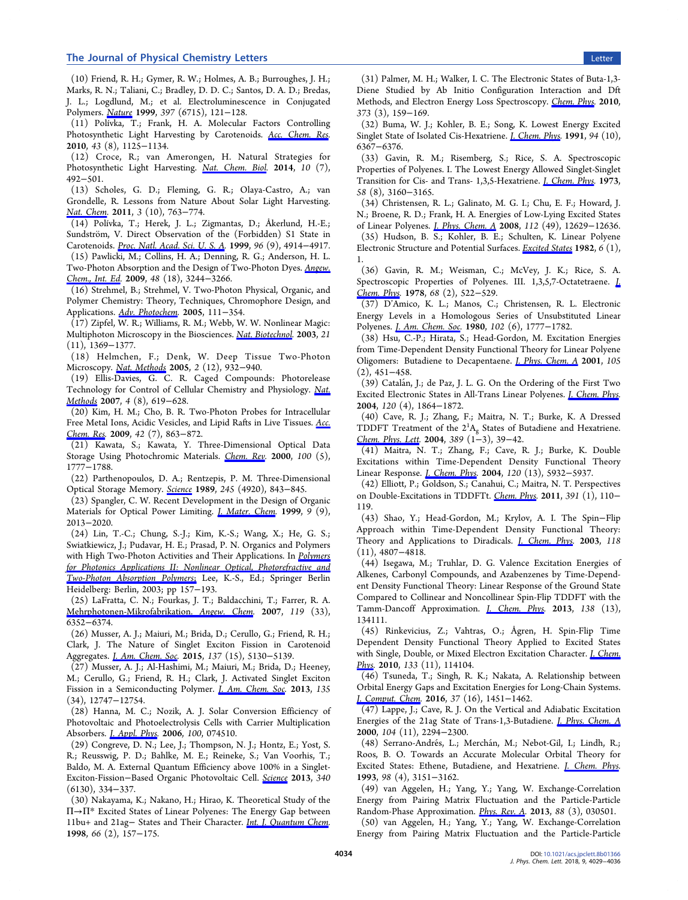#### <span id="page-5-0"></span>The Journal of Physical Chemistry Letters Letters Letter Letter Letter Letter Letter Letter Letter Letter Letter

(10) Friend, R. H.; Gymer, R. W.; Holmes, A. B.; Burroughes, J. H.; Marks, R. N.; Taliani, C.; Bradley, D. D. C.; Santos, D. A. D.; Bredas, J. L.; Logdlund, M.; et al. Electroluminescence in Conjugated Polymers. [Nature](http://pubs.acs.org/action/showLinks?crossref=10.1038%2F16393&coi=1%3ACAS%3A528%3ADyaK1MXntVOhsA%253D%253D&citationId=p_n_10_1) 1999, 397 (6715), 121−128.

(11) Polívka, T.; Frank, H. A. Molecular Factors Controlling Photosynthetic Light Harvesting by Carotenoids. [Acc. Chem. Res.](http://pubs.acs.org/action/showLinks?system=10.1021%2Far100030m&coi=1%3ACAS%3A528%3ADC%252BC3cXlslymur0%253D&citationId=p_n_11_1) 2010, 43 (8), 1125−1134.

(12) Croce, R.; van Amerongen, H. Natural Strategies for Photosynthetic Light Harvesting. [Nat. Chem. Biol](http://pubs.acs.org/action/showLinks?pmid=24937067&crossref=10.1038%2Fnchembio.1555&coi=1%3ACAS%3A528%3ADC%252BC2cXpvFWks7Y%253D&citationId=p_n_12_1). 2014, 10 (7), 492−501.

(13) Scholes, G. D.; Fleming, G. R.; Olaya-Castro, A.; van Grondelle, R. Lessons from Nature About Solar Light Harvesting. [Nat. Chem](http://pubs.acs.org/action/showLinks?pmid=21941248&crossref=10.1038%2Fnchem.1145&coi=1%3ACAS%3A528%3ADC%252BC3MXht1ajurzF&citationId=p_n_13_1). 2011, 3 (10), 763−774.

(14) Polívka, T.; Herek, J. L.; Zigmantas, D.; Åkerlund, H.-E.; Sundström, V. Direct Observation of the (Forbidden) S1 State in Carotenoids. [Proc. Natl. Acad. Sci. U. S. A](http://pubs.acs.org/action/showLinks?pmid=10220393&crossref=10.1073%2Fpnas.96.9.4914&coi=1%3ACAS%3A528%3ADyaK1MXjtVKmsL0%253D&citationId=p_n_14_1). 1999, 96 (9), 4914−4917.

(15) Pawlicki, M.; Collins, H. A.; Denning, R. G.; Anderson, H. L. Two-Photon Absorption and the Design of Two-Photon Dyes. [Angew.](http://pubs.acs.org/action/showLinks?pmid=19370705&crossref=10.1002%2Fanie.200805257&coi=1%3ACAS%3A528%3ADC%252BD1MXltVyktbg%253D&citationId=p_n_15_1) [Chem., Int. Ed](http://pubs.acs.org/action/showLinks?pmid=19370705&crossref=10.1002%2Fanie.200805257&coi=1%3ACAS%3A528%3ADC%252BD1MXltVyktbg%253D&citationId=p_n_15_1). 2009, 48 (18), 3244−3266.

(16) Strehmel, B.; Strehmel, V. Two-Photon Physical, Organic, and Polymer Chemistry: Theory, Techniques, Chromophore Design, and Applications. [Adv. Photochem.](http://pubs.acs.org/action/showLinks?crossref=10.1002%2F047003758X.ch3&citationId=p_n_16_1) 2005, 111−354.

(17) Zipfel, W. R.; Williams, R. M.; Webb, W. W. Nonlinear Magic: Multiphoton Microscopy in the Biosciences. [Nat. Biotechnol.](http://pubs.acs.org/action/showLinks?pmid=14595365&crossref=10.1038%2Fnbt899&coi=1%3ACAS%3A528%3ADC%252BD3sXosFOksbk%253D&citationId=p_n_19_1) 2003, 21 (11), 1369−1377.

(18) Helmchen, F.; Denk, W. Deep Tissue Two-Photon Microscopy. [Nat. Methods](http://pubs.acs.org/action/showLinks?pmid=16299478&crossref=10.1038%2Fnmeth818&coi=1%3ACAS%3A528%3ADC%252BD2MXht1aksr3E&citationId=p_n_20_1) 2005, 2 (12), 932−940.

(19) Ellis-Davies, G. C. R. Caged Compounds: Photorelease Technology for Control of Cellular Chemistry and Physiology. [Nat.](http://pubs.acs.org/action/showLinks?pmid=17664946&crossref=10.1038%2Fnmeth1072&coi=1%3ACAS%3A528%3ADC%252BD2sXot12mt70%253D&citationId=p_n_21_1) [Methods](http://pubs.acs.org/action/showLinks?pmid=17664946&crossref=10.1038%2Fnmeth1072&coi=1%3ACAS%3A528%3ADC%252BD2sXot12mt70%253D&citationId=p_n_21_1) 2007, 4 (8), 619−628.

(20) Kim, H. M.; Cho, B. R. Two-Photon Probes for Intracellular Free Metal Ions, Acidic Vesicles, and Lipid Rafts in Live Tissues. [Acc.](http://pubs.acs.org/action/showLinks?system=10.1021%2Far800185u&coi=1%3ACAS%3A528%3ADC%252BD1MXjvVehtbw%253D&citationId=p_n_22_1) [Chem. Res.](http://pubs.acs.org/action/showLinks?system=10.1021%2Far800185u&coi=1%3ACAS%3A528%3ADC%252BD1MXjvVehtbw%253D&citationId=p_n_22_1) 2009, 42 (7), 863−872.

(21) Kawata, S.; Kawata, Y. Three-Dimensional Optical Data Storage Using Photochromic Materials. [Chem. Rev](http://pubs.acs.org/action/showLinks?system=10.1021%2Fcr980073p&coi=1%3ACAS%3A528%3ADC%252BD3cXis1GntLg%253D&citationId=p_n_23_1). 2000, 100 (5), 1777−1788.

(22) Parthenopoulos, D. A.; Rentzepis, P. M. Three-Dimensional Optical Storage Memory. [Science](http://pubs.acs.org/action/showLinks?pmid=17773360&crossref=10.1126%2Fscience.245.4920.843&coi=1%3ACAS%3A528%3ADyaL1MXmt1WqtL4%253D&citationId=p_n_24_1) 1989, 245 (4920), 843−845.

(23) Spangler, C. W. Recent Development in the Design of Organic Materials for Optical Power Limiting. *[J. Mater. Chem](http://pubs.acs.org/action/showLinks?crossref=10.1039%2Fa902802a&coi=1%3ACAS%3A528%3ADyaK1MXlsFygsbY%253D&citationId=p_n_25_1).* 1999, 9 (9), 2013−2020.

(24) Lin, T.-C.; Chung, S.-J.; Kim, K.-S.; Wang, X.; He, G. S.; Swiatkiewicz, J.; Pudavar, H. E.; Prasad, P. N. Organics and Polymers with High Two-Photon Activities and Their Applications. In *[Polymers](http://pubs.acs.org/action/showLinks?crossref=10.1007%2F3-540-45642-2_3&citationId=p_n_26_1)* [for Photonics Applications II: Nonlinear Optical, Photorefractive and](http://pubs.acs.org/action/showLinks?crossref=10.1007%2F3-540-45642-2_3&citationId=p_n_26_1) [Two-Photon Absorption Polymers](http://pubs.acs.org/action/showLinks?crossref=10.1007%2F3-540-45642-2_3&citationId=p_n_26_1); Lee, K.-S., Ed.; Springer Berlin Heidelberg: Berlin, 2003; pp 157−193.

(25) LaFratta, C. N.; Fourkas, J. T.; Baldacchini, T.; Farrer, R. A. [Mehrphotonen-Mikrofabrikation.](http://pubs.acs.org/action/showLinks?crossref=10.1002%2Fange.200603995&citationId=p_n_27_1) Angew. Chem. 2007, 119 (33), 6352−6374.

(26) Musser, A. J.; Maiuri, M.; Brida, D.; Cerullo, G.; Friend, R. H.; Clark, J. The Nature of Singlet Exciton Fission in Carotenoid Aggregates. *[J. Am. Chem. Soc](http://pubs.acs.org/action/showLinks?system=10.1021%2Fjacs.5b01130&coi=1%3ACAS%3A528%3ADC%252BC2MXlsFGgsL4%253D&citationId=p_n_28_1).* 2015, 137 (15), 5130-5139.

(27) Musser, A. J.; Al-Hashimi, M.; Maiuri, M.; Brida, D.; Heeney, M.; Cerullo, G.; Friend, R. H.; Clark, J. Activated Singlet Exciton Fission in a Semiconducting Polymer. *[J. Am. Chem. Soc](http://pubs.acs.org/action/showLinks?system=10.1021%2Fja405427j&coi=1%3ACAS%3A528%3ADC%252BC3sXhtFCmu7nN&citationId=p_n_29_1).* 2013, 135 (34), 12747−12754.

(28) Hanna, M. C.; Nozik, A. J. Solar Conversion Efficiency of Photovoltaic and Photoelectrolysis Cells with Carrier Multiplication Absorbers. [J. Appl. Phys.](http://pubs.acs.org/action/showLinks?crossref=10.1063%2F1.2356795&coi=1%3ACAS%3A528%3ADC%252BD28XhtFWjtrjE&citationId=p_n_30_1) 2006, 100, 074510.

(29) Congreve, D. N.; Lee, J.; Thompson, N. J.; Hontz, E.; Yost, S. R.; Reusswig, P. D.; Bahlke, M. E.; Reineke, S.; Van Voorhis, T.; Baldo, M. A. External Quantum Efficiency above 100% in a Singlet-Exciton-Fission−Based Organic Photovoltaic Cell. [Science](http://pubs.acs.org/action/showLinks?pmid=23599489&crossref=10.1126%2Fscience.1232994&coi=1%3ACAS%3A528%3ADC%252BC3sXlvVKhtbg%253D&citationId=p_n_31_1) 2013, 340 (6130), 334−337.

(30) Nakayama, K.; Nakano, H.; Hirao, K. Theoretical Study of the Π→Π\* Excited States of Linear Polyenes: The Energy Gap between 11bu+ and 21ag− States and Their Character. [Int. J. Quantum Chem.](http://pubs.acs.org/action/showLinks?crossref=10.1002%2F%28SICI%291097-461X%281998%2966%3A2%3C157%3A%3AAID-QUA7%3E3.0.CO%3B2-U&coi=1%3ACAS%3A528%3ADyaK1cXhtVWntQ%253D%253D&citationId=p_n_32_1) 1998, 66 (2), 157−175.

(31) Palmer, M. H.; Walker, I. C. The Electronic States of Buta-1,3- Diene Studied by Ab Initio Configuration Interaction and Dft Methods, and Electron Energy Loss Spectroscopy. [Chem. Phys](http://pubs.acs.org/action/showLinks?crossref=10.1016%2Fj.chemphys.2010.04.016&coi=1%3ACAS%3A528%3ADC%252BC3cXpsFWmtL0%253D&citationId=p_n_33_1). 2010, 373 (3), 159−169.

(32) Buma, W. J.; Kohler, B. E.; Song, K. Lowest Energy Excited Singlet State of Isolated Cis-Hexatriene. *[J. Chem. Phys.](http://pubs.acs.org/action/showLinks?crossref=10.1063%2F1.460315&coi=1%3ACAS%3A528%3ADyaK3MXisFKhsro%253D&citationId=p_n_34_1)* 1991, 94 (10), 6367−6376.

(33) Gavin, R. M.; Risemberg, S.; Rice, S. A. Spectroscopic Properties of Polyenes. I. The Lowest Energy Allowed Singlet-Singlet Transition for Cis- and Trans- 1,3,5-Hexatriene. [J. Chem. Phys](http://pubs.acs.org/action/showLinks?crossref=10.1063%2F1.1679637&coi=1%3ACAS%3A528%3ADyaE3sXhsFent7w%253D&citationId=p_n_35_1). 1973, 58 (8), 3160−3165.

(34) Christensen, R. L.; Galinato, M. G. I.; Chu, E. F.; Howard, J. N.; Broene, R. D.; Frank, H. A. Energies of Low-Lying Excited States of Linear Polyenes. [J. Phys. Chem. A](http://pubs.acs.org/action/showLinks?system=10.1021%2Fjp8060202&coi=1%3ACAS%3A528%3ADC%252BD1cXhtlKqtLvO&citationId=p_n_36_1) 2008, 112 (49), 12629−12636. (35) Hudson, B. S.; Kohler, B. E.; Schulten, K. Linear Polyene Electronic Structure and Potential Surfaces. [Excited States](http://pubs.acs.org/action/showLinks?coi=1%3ACAS%3A528%3ADyaL3sXovVCjsQ%253D%253D&citationId=p_n_37_1) 1982, 6 (1), 1.

(36) Gavin, R. M.; Weisman, C.; McVey, J. K.; Rice, S. A. Spectroscopic Properties of Polyenes. III. 1,3,5,7-Octatetraene. *I.* [Chem. Phys.](http://pubs.acs.org/action/showLinks?crossref=10.1063%2F1.435761&coi=1%3ACAS%3A528%3ADyaE1cXhtFarsLo%253D&citationId=p_n_38_1) 1978, 68 (2), 522−529.

(37) D'Amico, K. L.; Manos, C.; Christensen, R. L. Electronic Energy Levels in a Homologous Series of Unsubstituted Linear Polyenes. *[J. Am. Chem. Soc.](http://pubs.acs.org/action/showLinks?system=10.1021%2Fja00526a003&coi=1%3ACAS%3A528%3ADyaL3cXktVOisLg%253D&citationId=p_n_39_1)* 1980, 102 (6), 1777-1782.

(38) Hsu, C.-P.; Hirata, S.; Head-Gordon, M. Excitation Energies from Time-Dependent Density Functional Theory for Linear Polyene Oligomers: Butadiene to Decapentaene. [J. Phys. Chem. A](http://pubs.acs.org/action/showLinks?system=10.1021%2Fjp0024367&coi=1%3ACAS%3A528%3ADC%252BD3cXovVCis7Y%253D&citationId=p_n_40_1) 2001, 105 (2), 451−458.

(39) Catalán, J.; de Paz, J. L. G. On the Ordering of the First Two Excited Electronic States in All-Trans Linear Polyenes. [J. Chem. Phys.](http://pubs.acs.org/action/showLinks?pmid=15268319&crossref=10.1063%2F1.1634556&citationId=p_n_41_1) 2004, 120 (4), 1864−1872.

(40) Cave, R. J.; Zhang, F.; Maitra, N. T.; Burke, K. A Dressed TDDFT Treatment of the  $2^{1}A_{g}$  States of Butadiene and Hexatriene. [Chem. Phys. Lett](http://pubs.acs.org/action/showLinks?crossref=10.1016%2Fj.cplett.2004.03.051&coi=1%3ACAS%3A528%3ADC%252BD2cXjtF2qur0%253D&citationId=p_n_42_1). 2004, 389 (1−3), 39−42.

(41) Maitra, N. T.; Zhang, F.; Cave, R. J.; Burke, K. Double Excitations within Time-Dependent Density Functional Theory Linear Response. [J. Chem. Phys.](http://pubs.acs.org/action/showLinks?pmid=15267474&crossref=10.1063%2F1.1651060&coi=1%3ACAS%3A528%3ADC%252BD2cXitlKqsLs%253D&citationId=p_n_43_1) 2004, 120 (13), 5932−5937.

(42) Elliott, P.; Goldson, S.; Canahui, C.; Maitra, N. T. Perspectives on Double-Excitations in TDDFTt. [Chem. Phys.](http://pubs.acs.org/action/showLinks?crossref=10.1016%2Fj.chemphys.2011.03.020&coi=1%3ACAS%3A528%3ADC%252BC3MXhsFarsLnJ&citationId=p_n_44_1) 2011, 391 (1), 110− 119.

(43) Shao, Y.; Head-Gordon, M.; Krylov, A. I. The Spin−Flip Approach within Time-Dependent Density Functional Theory: Theory and Applications to Diradicals. *[J. Chem. Phys.](http://pubs.acs.org/action/showLinks?crossref=10.1063%2F1.1545679&coi=1%3ACAS%3A528%3ADC%252BD3sXhs1ensL4%253D&citationId=p_n_45_1)* 2003, 118 (11), 4807−4818.

(44) Isegawa, M.; Truhlar, D. G. Valence Excitation Energies of Alkenes, Carbonyl Compounds, and Azabenzenes by Time-Dependent Density Functional Theory: Linear Response of the Ground State Compared to Collinear and Noncollinear Spin-Flip TDDFT with the Tamm-Dancoff Approximation. [J. Chem. Phys.](http://pubs.acs.org/action/showLinks?pmid=23574212&crossref=10.1063%2F1.4798402&coi=1%3ACAS%3A528%3ADC%252BC3sXlt1GlsLo%253D&citationId=p_n_46_1) 2013, 138 (13), 134111.

(45) Rinkevicius, Z.; Vahtras, O.; Ågren, H. Spin-Flip Time Dependent Density Functional Theory Applied to Excited States with Single, Double, or Mixed Electron Excitation Character. *[J. Chem.](http://pubs.acs.org/action/showLinks?pmid=20866123&crossref=10.1063%2F1.3479401&coi=1%3ACAS%3A528%3ADC%252BC3cXhtFOnurjF&citationId=p_n_47_1)* [Phys.](http://pubs.acs.org/action/showLinks?pmid=20866123&crossref=10.1063%2F1.3479401&coi=1%3ACAS%3A528%3ADC%252BC3cXhtFOnurjF&citationId=p_n_47_1) 2010, 133 (11), 114104.

(46) Tsuneda, T.; Singh, R. K.; Nakata, A. Relationship between Orbital Energy Gaps and Excitation Energies for Long-Chain Systems. [J. Comput. Chem](http://pubs.acs.org/action/showLinks?pmid=27010365&crossref=10.1002%2Fjcc.24357&coi=1%3ACAS%3A528%3ADC%252BC28XkvVChur0%253D&citationId=p_n_48_1). 2016, 37 (16), 1451−1462.

(47) Lappe, J.; Cave, R. J. On the Vertical and Adiabatic Excitation Energies of the 21ag State of Trans-1,3-Butadiene. [J. Phys. Chem. A](http://pubs.acs.org/action/showLinks?system=10.1021%2Fjp992518z&coi=1%3ACAS%3A528%3ADyaK1MXnslOktLg%253D&citationId=p_n_49_1) 2000, 104 (11), 2294−2300.

(48) Serrano-Andrés, L.; Merchán, M.; Nebot-Gil, I.; Lindh, R.; Roos, B. O. Towards an Accurate Molecular Orbital Theory for Excited States: Ethene, Butadiene, and Hexatriene. [J. Chem. Phys.](http://pubs.acs.org/action/showLinks?crossref=10.1063%2F1.465071&citationId=p_n_50_1) 1993, 98 (4), 3151−3162.

(49) van Aggelen, H.; Yang, Y.; Yang, W. Exchange-Correlation Energy from Pairing Matrix Fluctuation and the Particle-Particle Random-Phase Approximation. [Phys. Rev. A.](http://pubs.acs.org/action/showLinks?crossref=10.1103%2FPhysRevA.88.030501&coi=1%3ACAS%3A528%3ADC%252BC3sXhslSgurbE&citationId=p_n_51_1) 2013, 88 (3), 030501.

(50) van Aggelen, H.; Yang, Y.; Yang, W. Exchange-Correlation Energy from Pairing Matrix Fluctuation and the Particle-Particle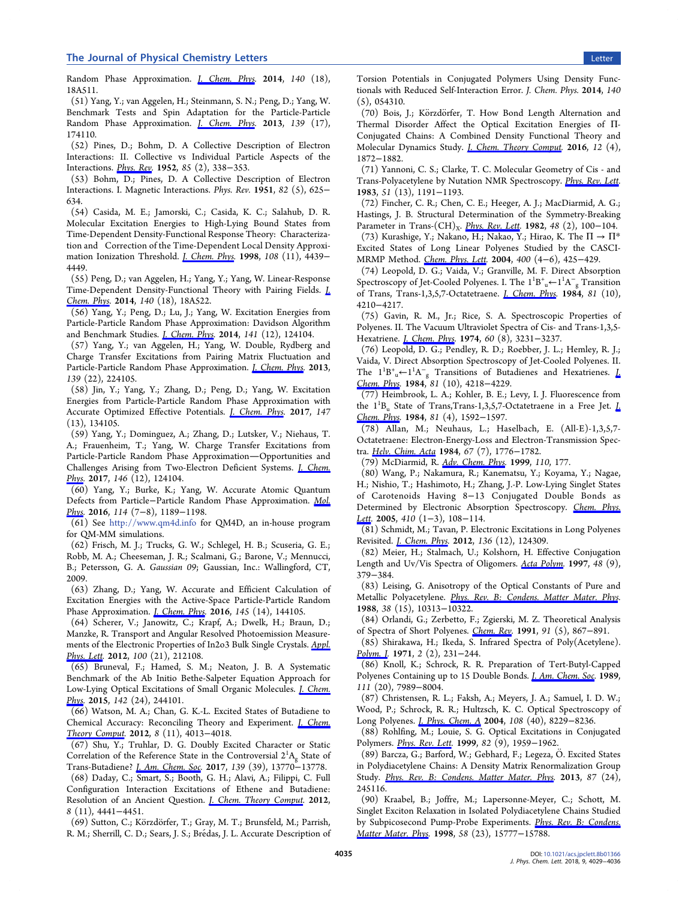#### <span id="page-6-0"></span>The Journal of Physical Chemistry Letters Letters Letter Letter Letter Letter Letter Letter Letter Letter Letter

Random Phase Approximation. *[J. Chem. Phys.](http://pubs.acs.org/action/showLinks?crossref=10.1063%2F1.4865816&citationId=p_n_52_1)* 2014, 140 (18), 18A511.

(51) Yang, Y.; van Aggelen, H.; Steinmann, S. N.; Peng, D.; Yang, W. Benchmark Tests and Spin Adaptation for the Particle-Particle Random Phase Approximation. *[J. Chem. Phys.](http://pubs.acs.org/action/showLinks?pmid=24206290&crossref=10.1063%2F1.4828728&coi=1%3ACAS%3A528%3ADC%252BC3sXhsleksbbN&citationId=p_n_53_1)* 2013, 139 (17), 174110.

(52) Pines, D.; Bohm, D. A Collective Description of Electron Interactions: II. Collective vs Individual Particle Aspects of the Interactions. [Phys. Rev.](http://pubs.acs.org/action/showLinks?crossref=10.1103%2FPhysRev.85.338&coi=1%3ACAS%3A528%3ADyaG38XisFOnsg%253D%253D&citationId=p_n_54_1) 1952, 85 (2), 338−353.

(53) Bohm, D.; Pines, D. A Collective Description of Electron Interactions. I. Magnetic Interactions. Phys. Rev. 1951, 82 (5), 625− 634.

(54) Casida, M. E.; Jamorski, C.; Casida, K. C.; Salahub, D. R. Molecular Excitation Energies to High-Lying Bound States from Time-Dependent Density-Functional Response Theory: Characterization and Correction of the Time-Dependent Local Density Approximation Ionization Threshold. *[J. Chem. Phys.](http://pubs.acs.org/action/showLinks?crossref=10.1063%2F1.475855&coi=1%3ACAS%3A528%3ADyaK1cXhsV2js7w%253D&citationId=p_n_56_1)* 1998, 108 (11), 4439− 4449.

(55) Peng, D.; van Aggelen, H.; Yang, Y.; Yang, W. Linear-Response Time-Dependent Density-Functional Theory with Pairing Fields. [J.](http://pubs.acs.org/action/showLinks?crossref=10.1063%2F1.4867540&citationId=p_n_57_1) [Chem. Phys.](http://pubs.acs.org/action/showLinks?crossref=10.1063%2F1.4867540&citationId=p_n_57_1) 2014, 140 (18), 18A522.

(56) Yang, Y.; Peng, D.; Lu, J.; Yang, W. Excitation Energies from Particle-Particle Random Phase Approximation: Davidson Algorithm and Benchmark Studies. *[J. Chem. Phys](http://pubs.acs.org/action/showLinks?pmid=25273409&crossref=10.1063%2F1.4895792&coi=1%3ACAS%3A528%3ADC%252BC2cXhsF2lsLzM&citationId=p_n_58_1).* 2014, 141 (12), 124104.

(57) Yang, Y.; van Aggelen, H.; Yang, W. Double, Rydberg and Charge Transfer Excitations from Pairing Matrix Fluctuation and Particle-Particle Random Phase Approximation. *[J. Chem. Phys](http://pubs.acs.org/action/showLinks?pmid=24329054&crossref=10.1063%2F1.4834875&coi=1%3ACAS%3A528%3ADC%252BC3sXhvV2lu73J&citationId=p_n_59_1).* 2013, 139 (22), 224105.

(58) Jin, Y.; Yang, Y.; Zhang, D.; Peng, D.; Yang, W. Excitation Energies from Particle-Particle Random Phase Approximation with Accurate Optimized Effective Potentials. [J. Chem. Phys.](http://pubs.acs.org/action/showLinks?pmid=28987104&crossref=10.1063%2F1.4994827&coi=1%3ACAS%3A528%3ADC%252BC2sXhs1WhsLvE&citationId=p_n_60_1) 2017, 147 (13), 134105.

(59) Yang, Y.; Dominguez, A.; Zhang, D.; Lutsker, V.; Niehaus, T. A.; Frauenheim, T.; Yang, W. Charge Transfer Excitations from Particle-Particle Random Phase Approximation-Opportunities and Challenges Arising from Two-Electron Deficient Systems. *[J. Chem.](http://pubs.acs.org/action/showLinks?pmid=28388105&crossref=10.1063%2F1.4977928&coi=1%3ACAS%3A528%3ADC%252BC2sXkvFWmt7Y%253D&citationId=p_n_61_1)* [Phys.](http://pubs.acs.org/action/showLinks?pmid=28388105&crossref=10.1063%2F1.4977928&coi=1%3ACAS%3A528%3ADC%252BC2sXkvFWmt7Y%253D&citationId=p_n_61_1) 2017, 146 (12), 124104.

(60) Yang, Y.; Burke, K.; Yang, W. Accurate Atomic Quantum Defects from Particle−Particle Random Phase Approximation. [Mol.](http://pubs.acs.org/action/showLinks?crossref=10.1080%2F00268976.2015.1123316&coi=1%3ACAS%3A528%3ADC%252BC2MXitVKisbrE&citationId=p_n_62_1) [Phys.](http://pubs.acs.org/action/showLinks?crossref=10.1080%2F00268976.2015.1123316&coi=1%3ACAS%3A528%3ADC%252BC2MXitVKisbrE&citationId=p_n_62_1) 2016, 114 (7-8), 1189-1198.

(61) See <http://www.qm4d.info> for QM4D, an in-house program for QM-MM simulations.

(62) Frisch, M. J.; Trucks, G. W.; Schlegel, H. B.; Scuseria, G. E.; Robb, M. A.; Cheeseman, J. R.; Scalmani, G.; Barone, V.; Mennucci, B.; Petersson, G. A. Gaussian 09; Gaussian, Inc.: Wallingford, CT, 2009.

(63) Zhang, D.; Yang, W. Accurate and Efficient Calculation of Excitation Energies with the Active-Space Particle-Particle Random Phase Approximation. *[J. Chem. Phys](http://pubs.acs.org/action/showLinks?pmid=27782522&crossref=10.1063%2F1.4964501&coi=1%3ACAS%3A528%3ADC%252BC28Xhs12gur7L&citationId=p_n_65_1).* 2016, 145 (14), 144105.

(64) Scherer, V.; Janowitz, C.; Krapf, A.; Dwelk, H.; Braun, D.; Manzke, R. Transport and Angular Resolved Photoemission Measure-ments of the Electronic Properties of In2o3 Bulk Single Crystals. [Appl.](http://pubs.acs.org/action/showLinks?crossref=10.1063%2F1.4719665&coi=1%3ACAS%3A528%3ADC%252BC38Xntlaru7s%253D&citationId=p_n_66_1) [Phys. Lett](http://pubs.acs.org/action/showLinks?crossref=10.1063%2F1.4719665&coi=1%3ACAS%3A528%3ADC%252BC38Xntlaru7s%253D&citationId=p_n_66_1). 2012, 100 (21), 212108.

(65) Bruneval, F.; Hamed, S. M.; Neaton, J. B. A Systematic Benchmark of the Ab Initio Bethe-Salpeter Equation Approach for Low-Lying Optical Excitations of Small Organic Molecules. *[J. Chem.](http://pubs.acs.org/action/showLinks?pmid=26133404&crossref=10.1063%2F1.4922489&coi=1%3ACAS%3A528%3ADC%252BC2MXhtFSltbbL&citationId=p_n_67_1)* [Phys.](http://pubs.acs.org/action/showLinks?pmid=26133404&crossref=10.1063%2F1.4922489&coi=1%3ACAS%3A528%3ADC%252BC2MXhtFSltbbL&citationId=p_n_67_1) 2015, 142 (24), 244101.

(66) Watson, M. A.; Chan, G. K.-L. Excited States of Butadiene to Chemical Accuracy: Reconciling Theory and Experiment. *[J. Chem.](http://pubs.acs.org/action/showLinks?system=10.1021%2Fct300591z&coi=1%3ACAS%3A528%3ADC%252BC38Xhtl2rt7%252FO&citationId=p_n_68_1)* [Theory Comput](http://pubs.acs.org/action/showLinks?system=10.1021%2Fct300591z&coi=1%3ACAS%3A528%3ADC%252BC38Xhtl2rt7%252FO&citationId=p_n_68_1). 2012, 8 (11), 4013−4018.

(67) Shu, Y.; Truhlar, D. G. Doubly Excited Character or Static Correlation of the Reference State in the Controversial  $2^{1}A_{g}$  State of Trans-Butadiene? [J. Am. Chem. Soc.](http://pubs.acs.org/action/showLinks?system=10.1021%2Fjacs.7b06283&coi=1%3ACAS%3A528%3ADC%252BC2sXhsVeksrfO&citationId=p_n_69_1) 2017, 139 (39), 13770−13778.

(68) Daday, C.; Smart, S.; Booth, G. H.; Alavi, A.; Filippi, C. Full Configuration Interaction Excitations of Ethene and Butadiene: Resolution of an Ancient Question. *[J. Chem. Theory Comput.](http://pubs.acs.org/action/showLinks?system=10.1021%2Fct300486d&coi=1%3ACAS%3A528%3ADC%252BC38Xht1eksL%252FE&citationId=p_n_70_1)* 2012, 8 (11), 4441−4451.

(69) Sutton, C.; Körzdörfer, T.; Gray, M. T.; Brunsfeld, M.; Parrish, R. M.; Sherrill, C. D.; Sears, J. S.; Brédas, J. L. Accurate Description of Torsion Potentials in Conjugated Polymers Using Density Functionals with Reduced Self-Interaction Error. J. Chem. Phys. 2014, 140 (5), 054310.

(70) Bois, J.; Körzdörfer, T. How Bond Length Alternation and Thermal Disorder Affect the Optical Excitation Energies of Π-Conjugated Chains: A Combined Density Functional Theory and Molecular Dynamics Study. [J. Chem. Theory Comput.](http://pubs.acs.org/action/showLinks?system=10.1021%2Facs.jctc.5b01070&coi=1%3ACAS%3A528%3ADC%252BC28XjvFylu78%253D&citationId=p_n_72_1) 2016, 12 (4), 1872−1882.

(71) Yannoni, C. S.; Clarke, T. C. Molecular Geometry of Cis - and Trans-Polyacetylene by Nutation NMR Spectroscopy. [Phys. Rev. Lett.](http://pubs.acs.org/action/showLinks?crossref=10.1103%2FPhysRevLett.51.1191&coi=1%3ACAS%3A528%3ADyaL2cXjsFSmug%253D%253D&citationId=p_n_73_1) 1983, 51 (13), 1191−1193.

(72) Fincher, C. R.; Chen, C. E.; Heeger, A. J.; MacDiarmid, A. G.; Hastings, J. B. Structural Determination of the Symmetry-Breaking Parameter in Trans- $(CH)_X$ . *[Phys. Rev. Lett.](http://pubs.acs.org/action/showLinks?crossref=10.1103%2FPhysRevLett.48.100&coi=1%3ACAS%3A528%3ADyaL38Xos1ajsw%253D%253D&citationId=p_n_74_1)* 1982, 48 (2), 100–104. (73) Kurashige, Y.; Nakano, H.; Nakao, Y.; Hirao, K. The  $\Pi \to \Pi^*$ Excited States of Long Linear Polyenes Studied by the CASCI-

MRMP Method. [Chem. Phys. Lett](http://pubs.acs.org/action/showLinks?crossref=10.1016%2Fj.cplett.2004.10.141&coi=1%3ACAS%3A528%3ADC%252BD2cXhtVKks7rK&citationId=p_n_75_1). 2004, 400 (4–6), 425–429. (74) Leopold, D. G.; Vaida, V.; Granville, M. F. Direct Absorption

Spectroscopy of Jet-Cooled Polyenes. I. The  $1^1B^+_{\ u} \leftarrow 1^1A^-_{\ g}$  Transition of Trans, Trans-1,3,5,7-Octatetraene. [J. Chem. Phys.](http://pubs.acs.org/action/showLinks?crossref=10.1063%2F1.447452&coi=1%3ACAS%3A528%3ADyaL2MXjsFOnuw%253D%253D&citationId=p_n_76_1) 1984, 81 (10), 4210−4217.

(75) Gavin, R. M., Jr.; Rice, S. A. Spectroscopic Properties of Polyenes. II. The Vacuum Ultraviolet Spectra of Cis- and Trans-1,3,5- Hexatriene. [J. Chem. Phys](http://pubs.acs.org/action/showLinks?crossref=10.1063%2F1.1681512&coi=1%3ACAS%3A528%3ADyaE2cXktlWntbs%253D&citationId=p_n_77_1). 1974, 60 (8), 3231−3237.

(76) Leopold, D. G.; Pendley, R. D.; Roebber, J. L.; Hemley, R. J.; Vaida, V. Direct Absorption Spectroscopy of Jet-Cooled Polyenes. II. The  $1^1B^+_{\mu}$  ←  $1^1A^-_{\rm g}$  Transitions of Butadienes and Hexatrienes. <u>J</u>. [Chem. Phys.](http://pubs.acs.org/action/showLinks?crossref=10.1063%2F1.447453&coi=1%3ACAS%3A528%3ADyaL2MXjsFGkuw%253D%253D&citationId=p_n_78_1) 1984, 81 (10), 4218−4229.

(77) Heimbrook, L. A.; Kohler, B. E.; Levy, I. J. Fluorescence from the  $1^1B_u$  State of Trans,Trans-1,3,5,7-Octatetraene in a Free Jet. L [Chem. Phys.](http://pubs.acs.org/action/showLinks?crossref=10.1063%2F1.447888&coi=1%3ACAS%3A528%3ADyaL2cXlsVSgt7s%253D&citationId=p_n_79_1) 1984, 81 (4), 1592-1597.

(78) Allan, M.; Neuhaus, L.; Haselbach, E. (All-E)-1,3,5,7- Octatetraene: Electron-Energy-Loss and Electron-Transmission Spectra. [Helv. Chim. Acta](http://pubs.acs.org/action/showLinks?crossref=10.1002%2Fhlca.19840670715&coi=1%3ACAS%3A528%3ADyaL2cXmtlOkt7c%253D&citationId=p_n_80_1) 1984, 67 (7), 1776−1782.

(79) McDiarmid, R. [Adv. Chem. Phys](http://pubs.acs.org/action/showLinks?crossref=10.1002%2F9780470141694.ch2&coi=1%3ACAS%3A528%3ADC%252BD3cXivFyntLs%253D&citationId=p_n_81_1). 1999, 110, 177.

(80) Wang, P.; Nakamura, R.; Kanematsu, Y.; Koyama, Y.; Nagae, H.; Nishio, T.; Hashimoto, H.; Zhang, J.-P. Low-Lying Singlet States of Carotenoids Having 8−13 Conjugated Double Bonds as Determined by Electronic Absorption Spectroscopy. [Chem. Phys.](http://pubs.acs.org/action/showLinks?crossref=10.1016%2Fj.cplett.2005.05.037&coi=1%3ACAS%3A528%3ADC%252BD2MXlsFahtLw%253D&citationId=p_n_82_1) [Lett](http://pubs.acs.org/action/showLinks?crossref=10.1016%2Fj.cplett.2005.05.037&coi=1%3ACAS%3A528%3ADC%252BD2MXlsFahtLw%253D&citationId=p_n_82_1). 2005, 410 (1−3), 108−114.

(81) Schmidt, M.; Tavan, P. Electronic Excitations in Long Polyenes Revisited. *[J. Chem. Phys](http://pubs.acs.org/action/showLinks?pmid=22462859&crossref=10.1063%2F1.3696880&coi=1%3ACAS%3A528%3ADC%252BC38XksFehs7Y%253D&citationId=p_n_83_1).* 2012, 136 (12), 124309.

(82) Meier, H.; Stalmach, U.; Kolshorn, H. Effective Conjugation Length and Uv/Vis Spectra of Oligomers. [Acta Polym](http://pubs.acs.org/action/showLinks?crossref=10.1002%2Factp.1997.010480905&coi=1%3ACAS%3A528%3ADyaK2sXmtleht7c%253D&citationId=p_n_84_1). 1997, 48 (9), 379−384.

(83) Leising, G. Anisotropy of the Optical Constants of Pure and Metallic Polyacetylene. [Phys. Rev. B: Condens. Matter Mater. Phys](http://pubs.acs.org/action/showLinks?crossref=10.1103%2FPhysRevB.38.10313&coi=1%3ACAS%3A528%3ADyaL1MXkslGiuw%253D%253D&citationId=p_n_85_1). 1988, 38 (15), 10313−10322.

(84) Orlandi, G.; Zerbetto, F.; Zgierski, M. Z. Theoretical Analysis of Spectra of Short Polyenes. [Chem. Rev](http://pubs.acs.org/action/showLinks?system=10.1021%2Fcr00005a012&coi=1%3ACAS%3A528%3ADyaK3MXkvFWgt7k%253D&citationId=p_n_86_1). 1991, 91 (5), 867−891.

(85) Shirakawa, H.; Ikeda, S. Infrared Spectra of Poly(Acetylene). Polym. I. 1971, 2 (2), 231–244.

(86) Knoll, K.; Schrock, R. R. Preparation of Tert-Butyl-Capped Polyenes Containing up to 15 Double Bonds. *[J. Am. Chem. Soc.](http://pubs.acs.org/action/showLinks?system=10.1021%2Fja00202a045&coi=1%3ACAS%3A528%3ADyaL1MXltlCrtLk%253D&citationId=p_n_88_1)* 1989, 111 (20), 7989−8004.

(87) Christensen, R. L.; Faksh, A.; Meyers, J. A.; Samuel, I. D. W.; Wood, P.; Schrock, R. R.; Hultzsch, K. C. Optical Spectroscopy of Long Polyenes. [J. Phys. Chem. A](http://pubs.acs.org/action/showLinks?system=10.1021%2Fjp048421g&coi=1%3ACAS%3A528%3ADC%252BD2cXntlKksLk%253D&citationId=p_n_89_1) 2004, 108 (40), 8229−8236.

(88) Rohlfing, M.; Louie, S. G. Optical Excitations in Conjugated Polymers. *[Phys. Rev. Lett.](http://pubs.acs.org/action/showLinks?crossref=10.1103%2FPhysRevLett.82.1959&coi=1%3ACAS%3A528%3ADyaK1MXhtlert7Y%253D&citationId=p_n_90_1)* 1999, 82 (9), 1959-1962.

(89) Barcza, G.; Barford, W.; Gebhard, F.; Legeza, Ö. Excited States in Polydiacetylene Chains: A Density Matrix Renormalization Group Study. [Phys. Rev. B: Condens. Matter Mater. Phys.](http://pubs.acs.org/action/showLinks?crossref=10.1103%2FPhysRevB.87.245116&coi=1%3ACAS%3A528%3ADC%252BC3sXht1yms7fF&citationId=p_n_91_1) 2013, 87 (24), 245116.

(90) Kraabel, B.; Joffre, M.; Lapersonne-Meyer, C.; Schott, M. Singlet Exciton Relaxation in Isolated Polydiacetylene Chains Studied by Subpicosecond Pump-Probe Experiments. [Phys. Rev. B: Condens.](http://pubs.acs.org/action/showLinks?crossref=10.1103%2FPhysRevB.58.15777&coi=1%3ACAS%3A528%3ADyaK1cXnvVygurw%253D&citationId=p_n_92_1) [Matter Mater. Phys.](http://pubs.acs.org/action/showLinks?crossref=10.1103%2FPhysRevB.58.15777&coi=1%3ACAS%3A528%3ADyaK1cXnvVygurw%253D&citationId=p_n_92_1) 1998, 58 (23), 15777−15788.